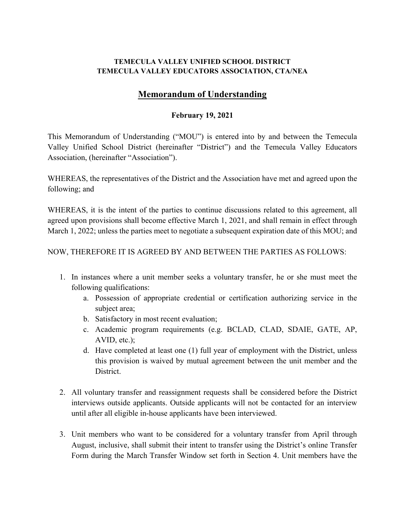### **TEMECULA VALLEY UNIFIED SCHOOL DISTRICT TEMECULA VALLEY EDUCATORS ASSOCIATION, CTA/NEA**

# **Memorandum of Understanding**

### **February 19, 2021**

This Memorandum of Understanding ("MOU") is entered into by and between the Temecula Valley Unified School District (hereinafter "District") and the Temecula Valley Educators Association, (hereinafter "Association").

WHEREAS, the representatives of the District and the Association have met and agreed upon the following; and

WHEREAS, it is the intent of the parties to continue discussions related to this agreement, all agreed upon provisions shall become effective March 1, 2021, and shall remain in effect through March 1, 2022; unless the parties meet to negotiate a subsequent expiration date of this MOU; and

## NOW, THEREFORE IT IS AGREED BY AND BETWEEN THE PARTIES AS FOLLOWS:

- 1. In instances where a unit member seeks a voluntary transfer, he or she must meet the following qualifications:
	- a. Possession of appropriate credential or certification authorizing service in the subject area;
	- b. Satisfactory in most recent evaluation;
	- c. Academic program requirements (e.g. BCLAD, CLAD, SDAIE, GATE, AP, AVID, etc.);
	- d. Have completed at least one (1) full year of employment with the District, unless this provision is waived by mutual agreement between the unit member and the District.
- 2. All voluntary transfer and reassignment requests shall be considered before the District interviews outside applicants. Outside applicants will not be contacted for an interview until after all eligible in-house applicants have been interviewed.
- 3. Unit members who want to be considered for a voluntary transfer from April through August, inclusive, shall submit their intent to transfer using the District's online Transfer Form during the March Transfer Window set forth in Section 4. Unit members have the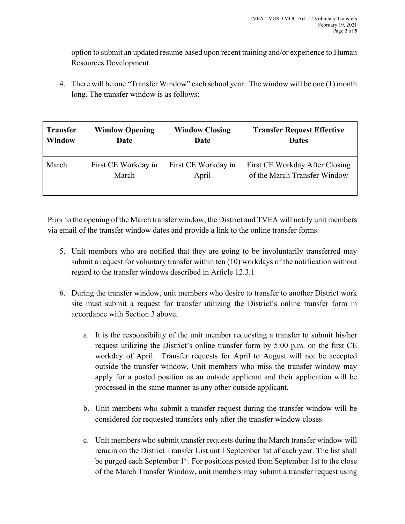option to submit an updated resume based upon recent training and/or experience to Human Resources Development.

4. There will be one "Transfer Window" each school year. The window will be one (1) month long. The transfer window is as follows:

| <b>Transfer</b> | <b>Window Opening</b> | <b>Window Closing</b> | <b>Transfer Request Effective</b> |
|-----------------|-----------------------|-----------------------|-----------------------------------|
| <b>Window</b>   | Date                  | Date                  | <b>Dates</b>                      |
| March           | First CE Workday in   | First CE Workday in   | First CE Workday After Closing    |
|                 | March                 | April                 | of the March Transfer Window      |

Prior to the opening of the March transfer window, the District and TVEA will notify unit members via email of the transfer window dates and provide a link to the online transfer forms.

- 5. Unit members who are notified that they are going to be involuntarily transferred may submit a request for voluntary transfer within ten (10) workdays of the notification without regard to the transfer windows described in Article 12.3.1
- 6. During the transfer window, unit members who desire to transfer to another District work site must submit a request for transfer utilizing the District's online transfer form in accordance with Section 3 above.
	- a. It is the responsibility of the unit member requesting a transfer to submit his/her request utilizing the District's online transfer form by 5:00 p.m. on the first CE workday of April. Transfer requests for April to August will not be accepted outside the transfer window. Unit members who miss the transfer window may apply for a posted position as an outside applicant and their application will be processed in the same manner as any other outside applicant.
	- b. Unit members who submit a transfer request during the transfer window will be considered for requested transfers only after the transfer window closes.
	- c. Unit members who submit transfer requests during the March transfer window will remain on the District Transfer List until September 1st of each year. The list shall be purged each September 1<sup>st</sup>. For positions posted from September 1st to the close of the March Transfer Window, unit members may submit a transfer request using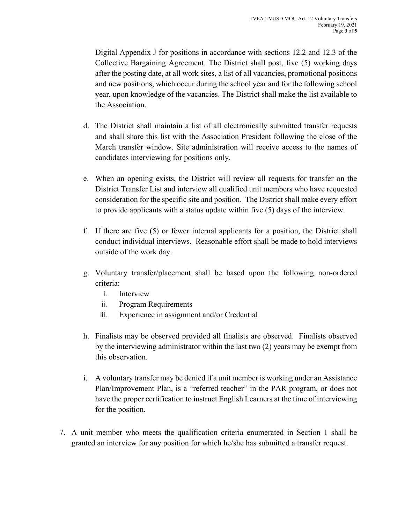Digital Appendix J for positions in accordance with sections 12.2 and 12.3 of the Collective Bargaining Agreement. The District shall post, five (5) working days after the posting date, at all work sites, a list of all vacancies, promotional positions and new positions, which occur during the school year and for the following school year, upon knowledge of the vacancies. The District shall make the list available to the Association.

- d. The District shall maintain a list of all electronically submitted transfer requests and shall share this list with the Association President following the close of the March transfer window. Site administration will receive access to the names of candidates interviewing for positions only.
- e. When an opening exists, the District will review all requests for transfer on the District Transfer List and interview all qualified unit members who have requested consideration for the specific site and position. The District shall make every effort to provide applicants with a status update within five (5) days of the interview.
- f. If there are five (5) or fewer internal applicants for a position, the District shall conduct individual interviews. Reasonable effort shall be made to hold interviews outside of the work day.
- g. Voluntary transfer/placement shall be based upon the following non-ordered criteria:
	- i. Interview
	- ii. Program Requirements
	- iii. Experience in assignment and/or Credential
- h. Finalists may be observed provided all finalists are observed. Finalists observed by the interviewing administrator within the last two (2) years may be exempt from this observation.
- i. A voluntary transfer may be denied if a unit member is working under an Assistance Plan/Improvement Plan, is a "referred teacher" in the PAR program, or does not have the proper certification to instruct English Learners at the time of interviewing for the position.
- 7. A unit member who meets the qualification criteria enumerated in Section 1 shall be granted an interview for any position for which he/she has submitted a transfer request.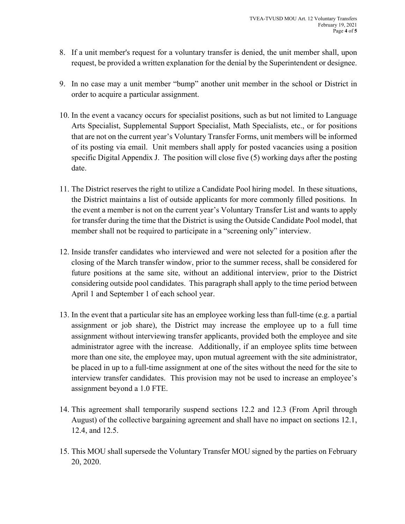- 8. If a unit member's request for a voluntary transfer is denied, the unit member shall, upon request, be provided a written explanation for the denial by the Superintendent or designee.
- 9. In no case may a unit member "bump" another unit member in the school or District in order to acquire a particular assignment.
- 10. In the event a vacancy occurs for specialist positions, such as but not limited to Language Arts Specialist, Supplemental Support Specialist, Math Specialists, etc., or for positions that are not on the current year's Voluntary Transfer Forms, unit members will be informed of its posting via email. Unit members shall apply for posted vacancies using a position specific Digital Appendix J. The position will close five (5) working days after the posting date.
- 11. The District reserves the right to utilize a Candidate Pool hiring model. In these situations, the District maintains a list of outside applicants for more commonly filled positions. In the event a member is not on the current year's Voluntary Transfer List and wants to apply for transfer during the time that the District is using the Outside Candidate Pool model, that member shall not be required to participate in a "screening only" interview.
- 12. Inside transfer candidates who interviewed and were not selected for a position after the closing of the March transfer window, prior to the summer recess, shall be considered for future positions at the same site, without an additional interview, prior to the District considering outside pool candidates. This paragraph shall apply to the time period between April 1 and September 1 of each school year.
- 13. In the event that a particular site has an employee working less than full-time (e.g. a partial assignment or job share), the District may increase the employee up to a full time assignment without interviewing transfer applicants, provided both the employee and site administrator agree with the increase. Additionally, if an employee splits time between more than one site, the employee may, upon mutual agreement with the site administrator, be placed in up to a full-time assignment at one of the sites without the need for the site to interview transfer candidates. This provision may not be used to increase an employee's assignment beyond a 1.0 FTE.
- 14. This agreement shall temporarily suspend sections 12.2 and 12.3 (From April through August) of the collective bargaining agreement and shall have no impact on sections 12.1, 12.4, and 12.5.
- 15. This MOU shall supersede the Voluntary Transfer MOU signed by the parties on February 20, 2020.